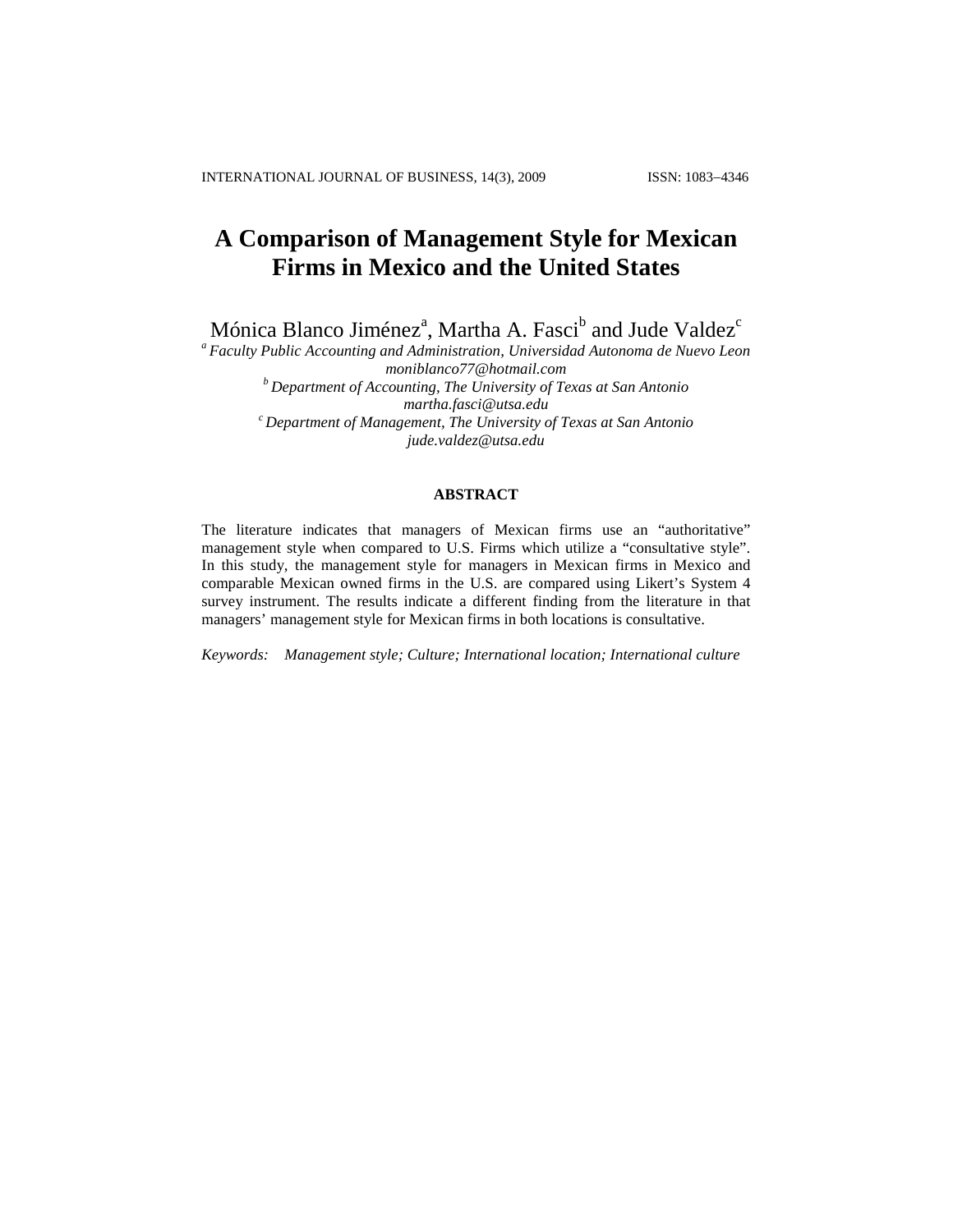# **A Comparison of Management Style for Mexican Firms in Mexico and the United States**

Mónica Blanco Jiménez<sup>a</sup>, Martha A. Fasci<sup>b</sup> and Jude Valdez<sup>c</sup>

*<sup>a</sup> Faculty Public Accounting and Administration, Universidad Autonoma de Nuevo Leon moniblanco77@hotmail.com <sup>b</sup> Department of Accounting, The University of Texas at San Antonio martha.fasci@utsa.edu <sup>c</sup> Department of Management, The University of Texas at San Antonio jude.valdez@utsa.edu*

#### **ABSTRACT**

The literature indicates that managers of Mexican firms use an "authoritative" management style when compared to U.S. Firms which utilize a "consultative style". In this study, the management style for managers in Mexican firms in Mexico and comparable Mexican owned firms in the U.S. are compared using Likert's System 4 survey instrument. The results indicate a different finding from the literature in that managers' management style for Mexican firms in both locations is consultative.

*Keywords: Management style; Culture; International location; International culture*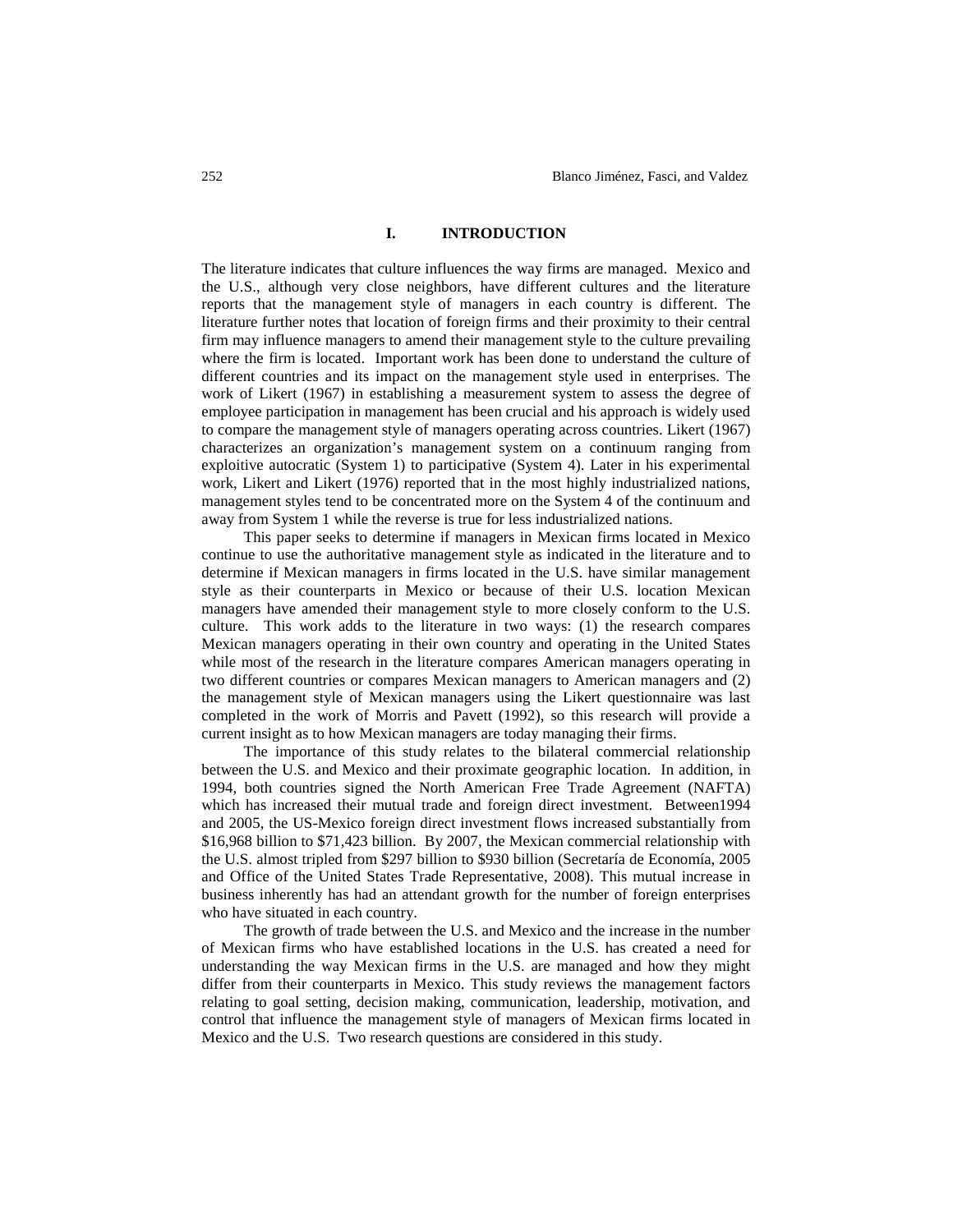# **I. INTRODUCTION**

The literature indicates that culture influences the way firms are managed. Mexico and the U.S., although very close neighbors, have different cultures and the literature reports that the management style of managers in each country is different. The literature further notes that location of foreign firms and their proximity to their central firm may influence managers to amend their management style to the culture prevailing where the firm is located. Important work has been done to understand the culture of different countries and its impact on the management style used in enterprises. The work of Likert (1967) in establishing a measurement system to assess the degree of employee participation in management has been crucial and his approach is widely used to compare the management style of managers operating across countries. Likert (1967) characterizes an organization's management system on a continuum ranging from exploitive autocratic (System 1) to participative (System 4). Later in his experimental work, Likert and Likert (1976) reported that in the most highly industrialized nations, management styles tend to be concentrated more on the System 4 of the continuum and away from System 1 while the reverse is true for less industrialized nations.

This paper seeks to determine if managers in Mexican firms located in Mexico continue to use the authoritative management style as indicated in the literature and to determine if Mexican managers in firms located in the U.S. have similar management style as their counterparts in Mexico or because of their U.S. location Mexican managers have amended their management style to more closely conform to the U.S. culture. This work adds to the literature in two ways: (1) the research compares Mexican managers operating in their own country and operating in the United States while most of the research in the literature compares American managers operating in two different countries or compares Mexican managers to American managers and (2) the management style of Mexican managers using the Likert questionnaire was last completed in the work of Morris and Pavett (1992), so this research will provide a current insight as to how Mexican managers are today managing their firms.

The importance of this study relates to the bilateral commercial relationship between the U.S. and Mexico and their proximate geographic location. In addition, in 1994, both countries signed the North American Free Trade Agreement (NAFTA) which has increased their mutual trade and foreign direct investment. Between1994 and 2005, the US-Mexico foreign direct investment flows increased substantially from \$16,968 billion to \$71,423 billion. By 2007, the Mexican commercial relationship with the U.S. almost tripled from \$297 billion to \$930 billion (Secretaría de Economía, 2005 and Office of the United States Trade Representative, 2008). This mutual increase in business inherently has had an attendant growth for the number of foreign enterprises who have situated in each country.

The growth of trade between the U.S. and Mexico and the increase in the number of Mexican firms who have established locations in the U.S. has created a need for understanding the way Mexican firms in the U.S. are managed and how they might differ from their counterparts in Mexico. This study reviews the management factors relating to goal setting, decision making, communication, leadership, motivation, and control that influence the management style of managers of Mexican firms located in Mexico and the U.S. Two research questions are considered in this study.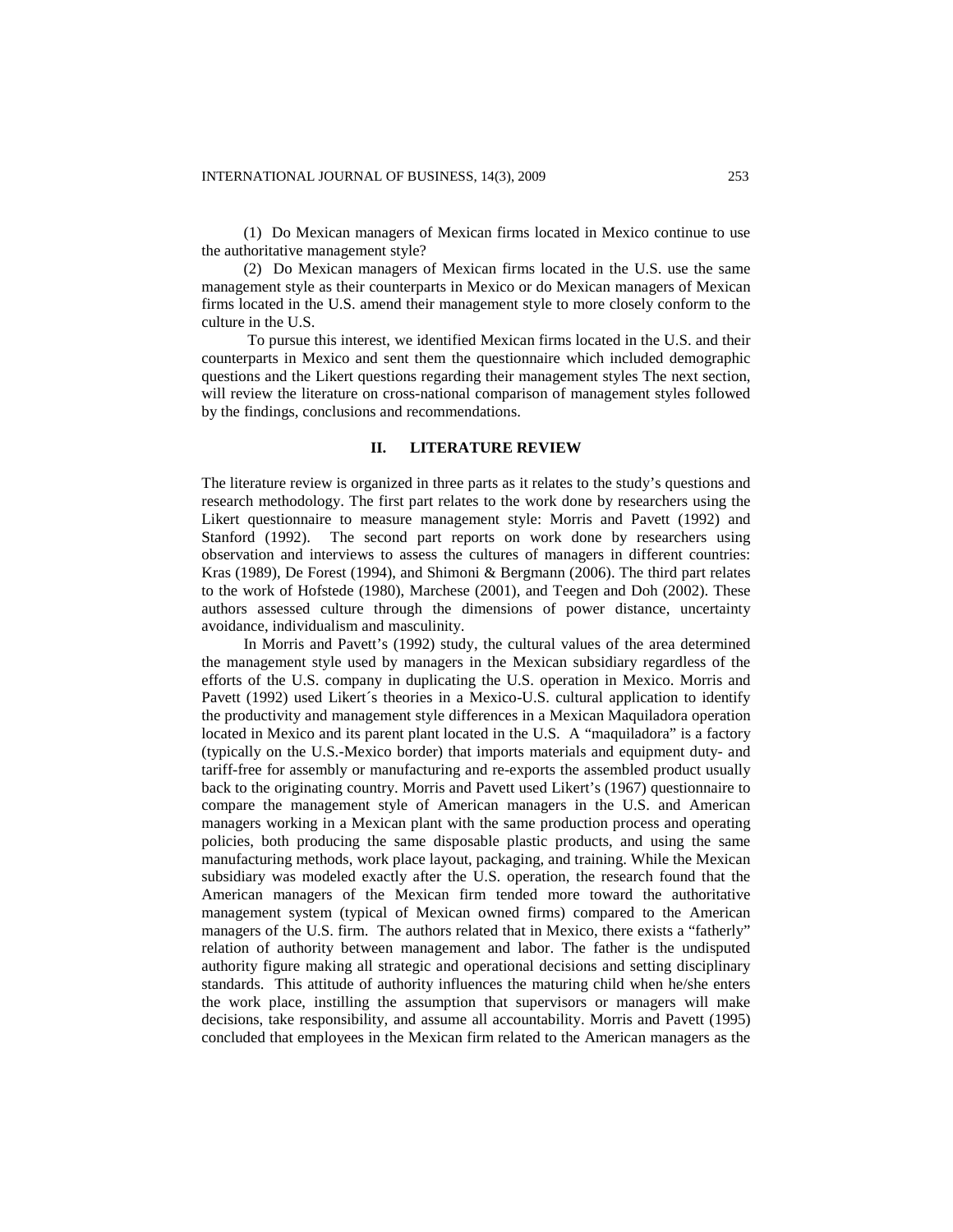(1) Do Mexican managers of Mexican firms located in Mexico continue to use the authoritative management style?

(2) Do Mexican managers of Mexican firms located in the U.S. use the same management style as their counterparts in Mexico or do Mexican managers of Mexican firms located in the U.S. amend their management style to more closely conform to the culture in the U.S.

To pursue this interest, we identified Mexican firms located in the U.S. and their counterparts in Mexico and sent them the questionnaire which included demographic questions and the Likert questions regarding their management styles The next section, will review the literature on cross-national comparison of management styles followed by the findings, conclusions and recommendations.

#### **II. LITERATURE REVIEW**

The literature review is organized in three parts as it relates to the study's questions and research methodology. The first part relates to the work done by researchers using the Likert questionnaire to measure management style: Morris and Pavett (1992) and Stanford (1992). The second part reports on work done by researchers using observation and interviews to assess the cultures of managers in different countries: Kras (1989), De Forest (1994), and Shimoni & Bergmann (2006). The third part relates to the work of Hofstede (1980), Marchese (2001), and Teegen and Doh (2002). These authors assessed culture through the dimensions of power distance, uncertainty avoidance, individualism and masculinity.

In Morris and Pavett's (1992) study, the cultural values of the area determined the management style used by managers in the Mexican subsidiary regardless of the efforts of the U.S. company in duplicating the U.S. operation in Mexico. Morris and Pavett (1992) used Likert´s theories in a Mexico-U.S. cultural application to identify the productivity and management style differences in a Mexican Maquiladora operation located in Mexico and its parent plant located in the U.S. A "maquiladora" is a factory (typically on the U.S.-Mexico border) that imports materials and equipment duty- and tariff-free for assembly or manufacturing and re-exports the assembled product usually back to the originating country. Morris and Pavett used Likert's (1967) questionnaire to compare the management style of American managers in the U.S. and American managers working in a Mexican plant with the same production process and operating policies, both producing the same disposable plastic products, and using the same manufacturing methods, work place layout, packaging, and training. While the Mexican subsidiary was modeled exactly after the U.S. operation, the research found that the American managers of the Mexican firm tended more toward the authoritative management system (typical of Mexican owned firms) compared to the American managers of the U.S. firm. The authors related that in Mexico, there exists a "fatherly" relation of authority between management and labor. The father is the undisputed authority figure making all strategic and operational decisions and setting disciplinary standards. This attitude of authority influences the maturing child when he/she enters the work place, instilling the assumption that supervisors or managers will make decisions, take responsibility, and assume all accountability. Morris and Pavett (1995) concluded that employees in the Mexican firm related to the American managers as the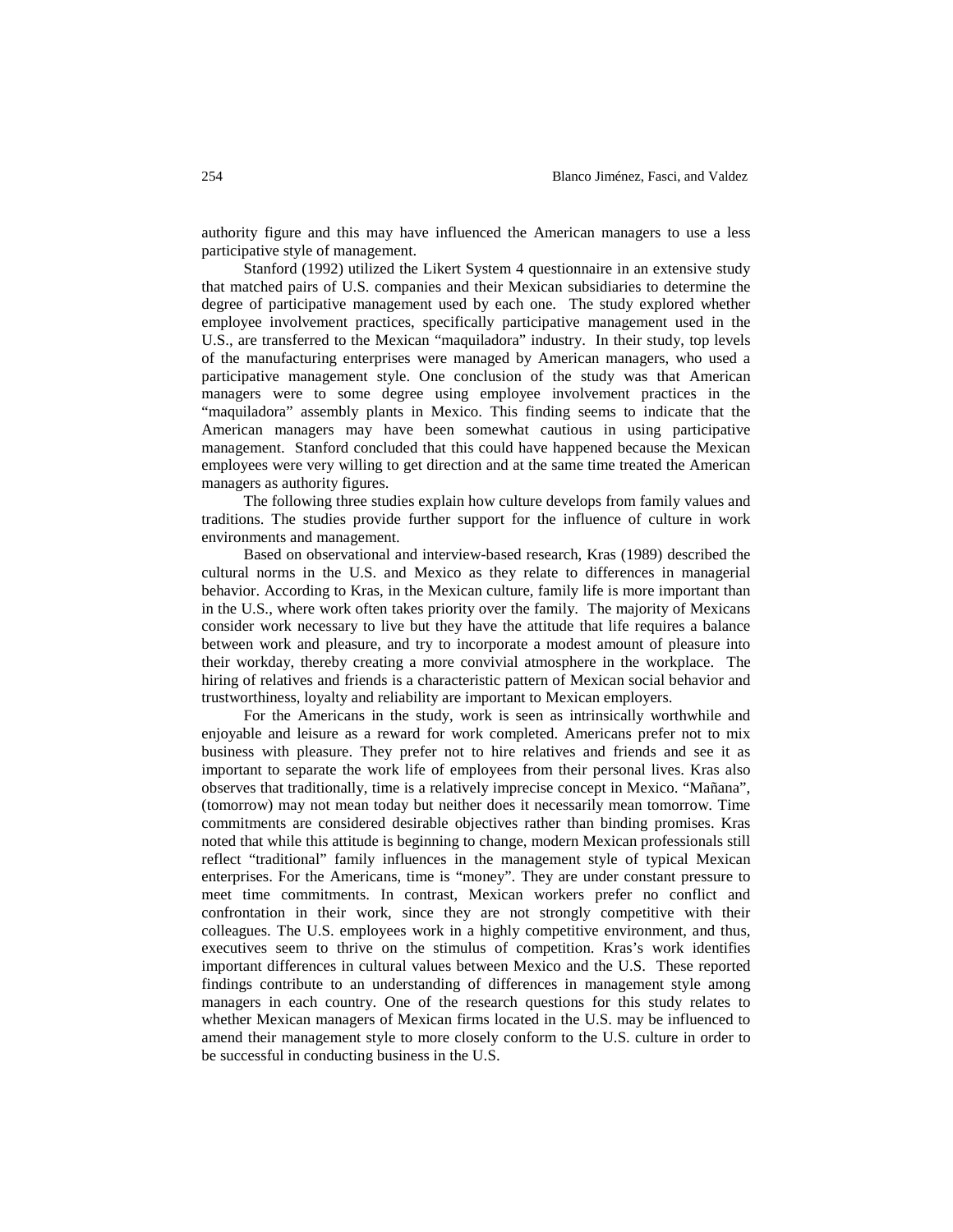authority figure and this may have influenced the American managers to use a less participative style of management.

Stanford (1992) utilized the Likert System 4 questionnaire in an extensive study that matched pairs of U.S. companies and their Mexican subsidiaries to determine the degree of participative management used by each one. The study explored whether employee involvement practices, specifically participative management used in the U.S., are transferred to the Mexican "maquiladora" industry. In their study, top levels of the manufacturing enterprises were managed by American managers, who used a participative management style. One conclusion of the study was that American managers were to some degree using employee involvement practices in the "maquiladora" assembly plants in Mexico. This finding seems to indicate that the American managers may have been somewhat cautious in using participative management. Stanford concluded that this could have happened because the Mexican employees were very willing to get direction and at the same time treated the American managers as authority figures.

The following three studies explain how culture develops from family values and traditions. The studies provide further support for the influence of culture in work environments and management.

Based on observational and interview-based research, Kras (1989) described the cultural norms in the U.S. and Mexico as they relate to differences in managerial behavior. According to Kras, in the Mexican culture, family life is more important than in the U.S., where work often takes priority over the family. The majority of Mexicans consider work necessary to live but they have the attitude that life requires a balance between work and pleasure, and try to incorporate a modest amount of pleasure into their workday, thereby creating a more convivial atmosphere in the workplace. The hiring of relatives and friends is a characteristic pattern of Mexican social behavior and trustworthiness, loyalty and reliability are important to Mexican employers.

For the Americans in the study, work is seen as intrinsically worthwhile and enjoyable and leisure as a reward for work completed. Americans prefer not to mix business with pleasure. They prefer not to hire relatives and friends and see it as important to separate the work life of employees from their personal lives. Kras also observes that traditionally, time is a relatively imprecise concept in Mexico. "Mañana", (tomorrow) may not mean today but neither does it necessarily mean tomorrow. Time commitments are considered desirable objectives rather than binding promises. Kras noted that while this attitude is beginning to change, modern Mexican professionals still reflect "traditional" family influences in the management style of typical Mexican enterprises. For the Americans, time is "money". They are under constant pressure to meet time commitments. In contrast, Mexican workers prefer no conflict and confrontation in their work, since they are not strongly competitive with their colleagues. The U.S. employees work in a highly competitive environment, and thus, executives seem to thrive on the stimulus of competition. Kras's work identifies important differences in cultural values between Mexico and the U.S. These reported findings contribute to an understanding of differences in management style among managers in each country. One of the research questions for this study relates to whether Mexican managers of Mexican firms located in the U.S. may be influenced to amend their management style to more closely conform to the U.S. culture in order to be successful in conducting business in the U.S.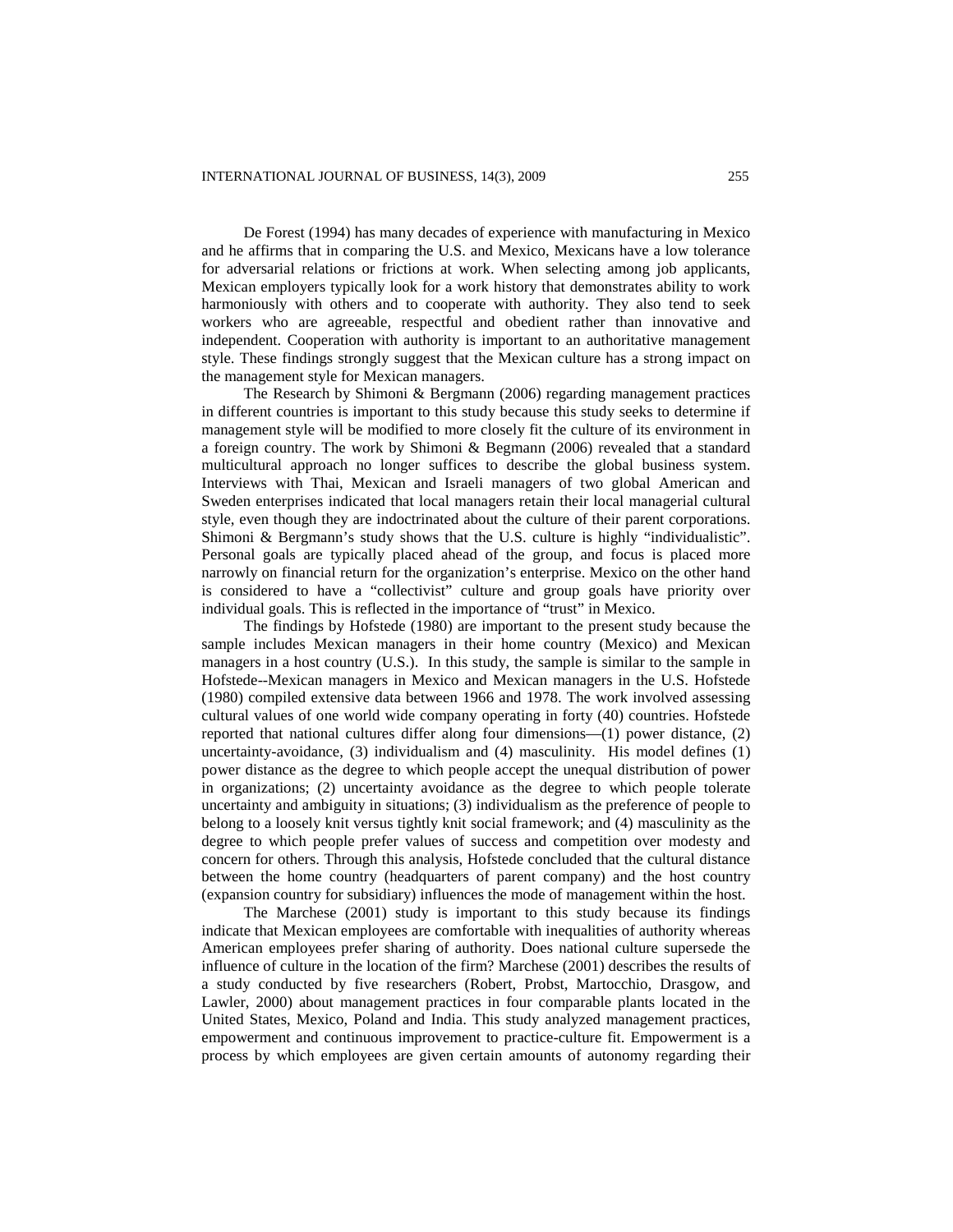De Forest (1994) has many decades of experience with manufacturing in Mexico and he affirms that in comparing the U.S. and Mexico, Mexicans have a low tolerance for adversarial relations or frictions at work. When selecting among job applicants, Mexican employers typically look for a work history that demonstrates ability to work harmoniously with others and to cooperate with authority. They also tend to seek workers who are agreeable, respectful and obedient rather than innovative and independent. Cooperation with authority is important to an authoritative management style. These findings strongly suggest that the Mexican culture has a strong impact on the management style for Mexican managers.

The Research by Shimoni & Bergmann (2006) regarding management practices in different countries is important to this study because this study seeks to determine if management style will be modified to more closely fit the culture of its environment in a foreign country. The work by Shimoni & Begmann (2006) revealed that a standard multicultural approach no longer suffices to describe the global business system. Interviews with Thai, Mexican and Israeli managers of two global American and Sweden enterprises indicated that local managers retain their local managerial cultural style, even though they are indoctrinated about the culture of their parent corporations. Shimoni & Bergmann's study shows that the U.S. culture is highly "individualistic". Personal goals are typically placed ahead of the group, and focus is placed more narrowly on financial return for the organization's enterprise. Mexico on the other hand is considered to have a "collectivist" culture and group goals have priority over individual goals. This is reflected in the importance of "trust" in Mexico.

The findings by Hofstede (1980) are important to the present study because the sample includes Mexican managers in their home country (Mexico) and Mexican managers in a host country (U.S.). In this study, the sample is similar to the sample in Hofstede--Mexican managers in Mexico and Mexican managers in the U.S. Hofstede (1980) compiled extensive data between 1966 and 1978. The work involved assessing cultural values of one world wide company operating in forty (40) countries. Hofstede reported that national cultures differ along four dimensions—(1) power distance, (2) uncertainty-avoidance, (3) individualism and (4) masculinity. His model defines (1) power distance as the degree to which people accept the unequal distribution of power in organizations; (2) uncertainty avoidance as the degree to which people tolerate uncertainty and ambiguity in situations; (3) individualism as the preference of people to belong to a loosely knit versus tightly knit social framework; and (4) masculinity as the degree to which people prefer values of success and competition over modesty and concern for others. Through this analysis, Hofstede concluded that the cultural distance between the home country (headquarters of parent company) and the host country (expansion country for subsidiary) influences the mode of management within the host.

The Marchese (2001) study is important to this study because its findings indicate that Mexican employees are comfortable with inequalities of authority whereas American employees prefer sharing of authority. Does national culture supersede the influence of culture in the location of the firm? Marchese (2001) describes the results of a study conducted by five researchers (Robert, Probst, Martocchio, Drasgow, and Lawler, 2000) about management practices in four comparable plants located in the United States, Mexico, Poland and India. This study analyzed management practices, empowerment and continuous improvement to practice-culture fit. Empowerment is a process by which employees are given certain amounts of autonomy regarding their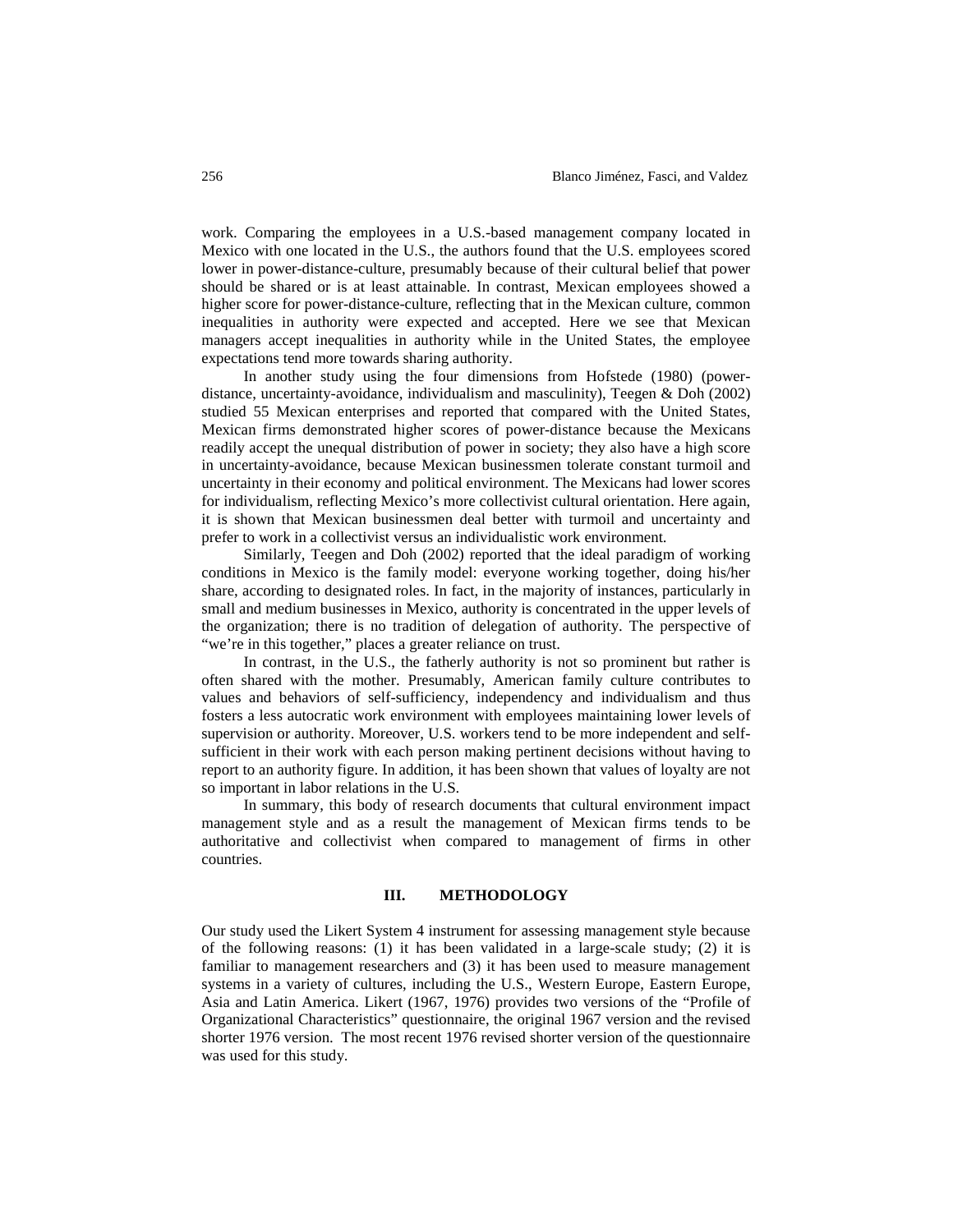work. Comparing the employees in a U.S.-based management company located in Mexico with one located in the U.S., the authors found that the U.S. employees scored lower in power-distance-culture, presumably because of their cultural belief that power should be shared or is at least attainable. In contrast, Mexican employees showed a higher score for power-distance-culture, reflecting that in the Mexican culture, common inequalities in authority were expected and accepted. Here we see that Mexican managers accept inequalities in authority while in the United States, the employee expectations tend more towards sharing authority.

In another study using the four dimensions from Hofstede (1980) (powerdistance, uncertainty-avoidance, individualism and masculinity), Teegen & Doh (2002) studied 55 Mexican enterprises and reported that compared with the United States, Mexican firms demonstrated higher scores of power-distance because the Mexicans readily accept the unequal distribution of power in society; they also have a high score in uncertainty-avoidance, because Mexican businessmen tolerate constant turmoil and uncertainty in their economy and political environment. The Mexicans had lower scores for individualism, reflecting Mexico's more collectivist cultural orientation. Here again, it is shown that Mexican businessmen deal better with turmoil and uncertainty and prefer to work in a collectivist versus an individualistic work environment.

Similarly, Teegen and Doh (2002) reported that the ideal paradigm of working conditions in Mexico is the family model: everyone working together, doing his/her share, according to designated roles. In fact, in the majority of instances, particularly in small and medium businesses in Mexico, authority is concentrated in the upper levels of the organization; there is no tradition of delegation of authority. The perspective of "we're in this together," places a greater reliance on trust.

In contrast, in the U.S., the fatherly authority is not so prominent but rather is often shared with the mother. Presumably, American family culture contributes to values and behaviors of self-sufficiency, independency and individualism and thus fosters a less autocratic work environment with employees maintaining lower levels of supervision or authority. Moreover, U.S. workers tend to be more independent and selfsufficient in their work with each person making pertinent decisions without having to report to an authority figure. In addition, it has been shown that values of loyalty are not so important in labor relations in the U.S.

In summary, this body of research documents that cultural environment impact management style and as a result the management of Mexican firms tends to be authoritative and collectivist when compared to management of firms in other countries.

#### **III. METHODOLOGY**

Our study used the Likert System 4 instrument for assessing management style because of the following reasons: (1) it has been validated in a large-scale study; (2) it is familiar to management researchers and (3) it has been used to measure management systems in a variety of cultures, including the U.S., Western Europe, Eastern Europe, Asia and Latin America. Likert (1967, 1976) provides two versions of the "Profile of Organizational Characteristics" questionnaire, the original 1967 version and the revised shorter 1976 version. The most recent 1976 revised shorter version of the questionnaire was used for this study.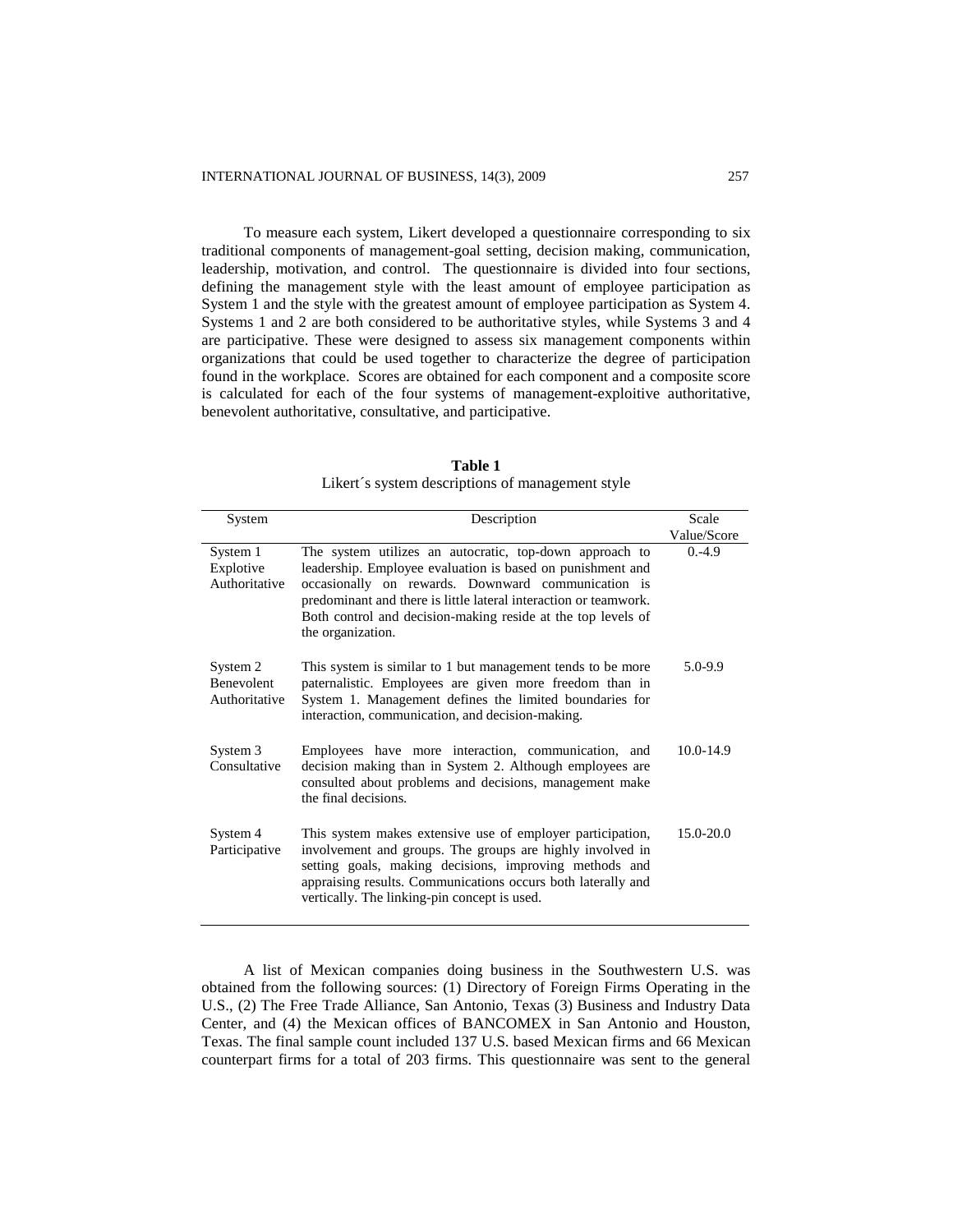To measure each system, Likert developed a questionnaire corresponding to six traditional components of management-goal setting, decision making, communication, leadership, motivation, and control. The questionnaire is divided into four sections, defining the management style with the least amount of employee participation as System 1 and the style with the greatest amount of employee participation as System 4. Systems 1 and 2 are both considered to be authoritative styles, while Systems 3 and 4 are participative. These were designed to assess six management components within organizations that could be used together to characterize the degree of participation found in the workplace. Scores are obtained for each component and a composite score is calculated for each of the four systems of management-exploitive authoritative, benevolent authoritative, consultative, and participative.

| System                                         | Description                                                                                                                                                                                                                                                                                                                          | Scale         |  |
|------------------------------------------------|--------------------------------------------------------------------------------------------------------------------------------------------------------------------------------------------------------------------------------------------------------------------------------------------------------------------------------------|---------------|--|
|                                                |                                                                                                                                                                                                                                                                                                                                      | Value/Score   |  |
| System 1<br>Explotive<br>Authoritative         | The system utilizes an autocratic, top-down approach to<br>leadership. Employee evaluation is based on punishment and<br>occasionally on rewards. Downward communication is<br>predominant and there is little lateral interaction or teamwork.<br>Both control and decision-making reside at the top levels of<br>the organization. | $0. -4.9$     |  |
| System 2<br><b>Benevolent</b><br>Authoritative | This system is similar to 1 but management tends to be more<br>paternalistic. Employees are given more freedom than in<br>System 1. Management defines the limited boundaries for<br>interaction, communication, and decision-making.                                                                                                | $5.0 - 9.9$   |  |
| System 3<br>Consultative                       | Employees have more interaction, communication, and<br>decision making than in System 2. Although employees are<br>consulted about problems and decisions, management make<br>the final decisions.                                                                                                                                   | $10.0 - 14.9$ |  |
| System 4<br>Participative                      | This system makes extensive use of employer participation,<br>involvement and groups. The groups are highly involved in<br>setting goals, making decisions, improving methods and<br>appraising results. Communications occurs both laterally and<br>vertically. The linking-pin concept is used.                                    | $15.0 - 20.0$ |  |

**Table 1** Likert´s system descriptions of management style

A list of Mexican companies doing business in the Southwestern U.S. was obtained from the following sources: (1) Directory of Foreign Firms Operating in the U.S., (2) The Free Trade Alliance, San Antonio, Texas (3) Business and Industry Data Center, and (4) the Mexican offices of BANCOMEX in San Antonio and Houston, Texas. The final sample count included 137 U.S. based Mexican firms and 66 Mexican counterpart firms for a total of 203 firms. This questionnaire was sent to the general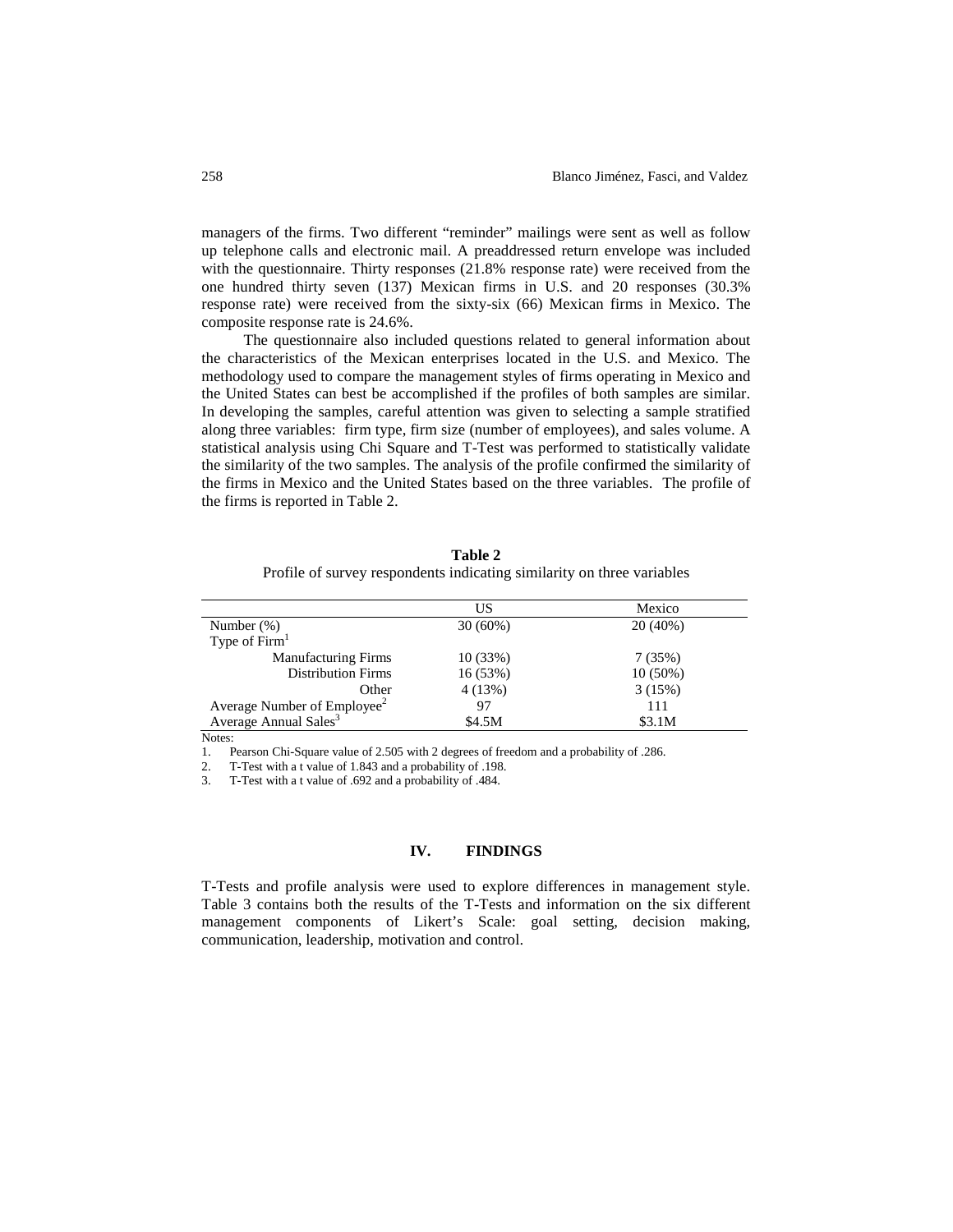managers of the firms. Two different "reminder" mailings were sent as well as follow up telephone calls and electronic mail. A preaddressed return envelope was included with the questionnaire. Thirty responses (21.8% response rate) were received from the one hundred thirty seven (137) Mexican firms in U.S. and 20 responses (30.3% response rate) were received from the sixty-six (66) Mexican firms in Mexico. The composite response rate is 24.6%.

The questionnaire also included questions related to general information about the characteristics of the Mexican enterprises located in the U.S. and Mexico. The methodology used to compare the management styles of firms operating in Mexico and the United States can best be accomplished if the profiles of both samples are similar. In developing the samples, careful attention was given to selecting a sample stratified along three variables: firm type, firm size (number of employees), and sales volume. A statistical analysis using Chi Square and T-Test was performed to statistically validate the similarity of the two samples. The analysis of the profile confirmed the similarity of the firms in Mexico and the United States based on the three variables. The profile of the firms is reported in Table 2.

|                                         | US         | Mexico     |
|-----------------------------------------|------------|------------|
| Number $(\%)$                           | $30(60\%)$ | $20(40\%)$ |
| Type of $Firm1$                         |            |            |
| <b>Manufacturing Firms</b>              | 10(33%)    | 7(35%)     |
| <b>Distribution Firms</b>               | 16(53%)    | $10(50\%)$ |
| Other                                   | 4(13%)     | 3(15%)     |
| Average Number of Employee <sup>2</sup> | 97         | 111        |
| Average Annual Sales <sup>3</sup>       | \$4.5M     | \$3.1M     |

**Table 2** Profile of survey respondents indicating similarity on three variables

Notes:

1. Pearson Chi-Square value of 2.505 with 2 degrees of freedom and a probability of .286.

2. T-Test with a t value of 1.843 and a probability of .198.

3. T-Test with a t value of .692 and a probability of .484.

#### **IV. FINDINGS**

T-Tests and profile analysis were used to explore differences in management style. Table 3 contains both the results of the T-Tests and information on the six different management components of Likert's Scale: goal setting, decision making, communication, leadership, motivation and control.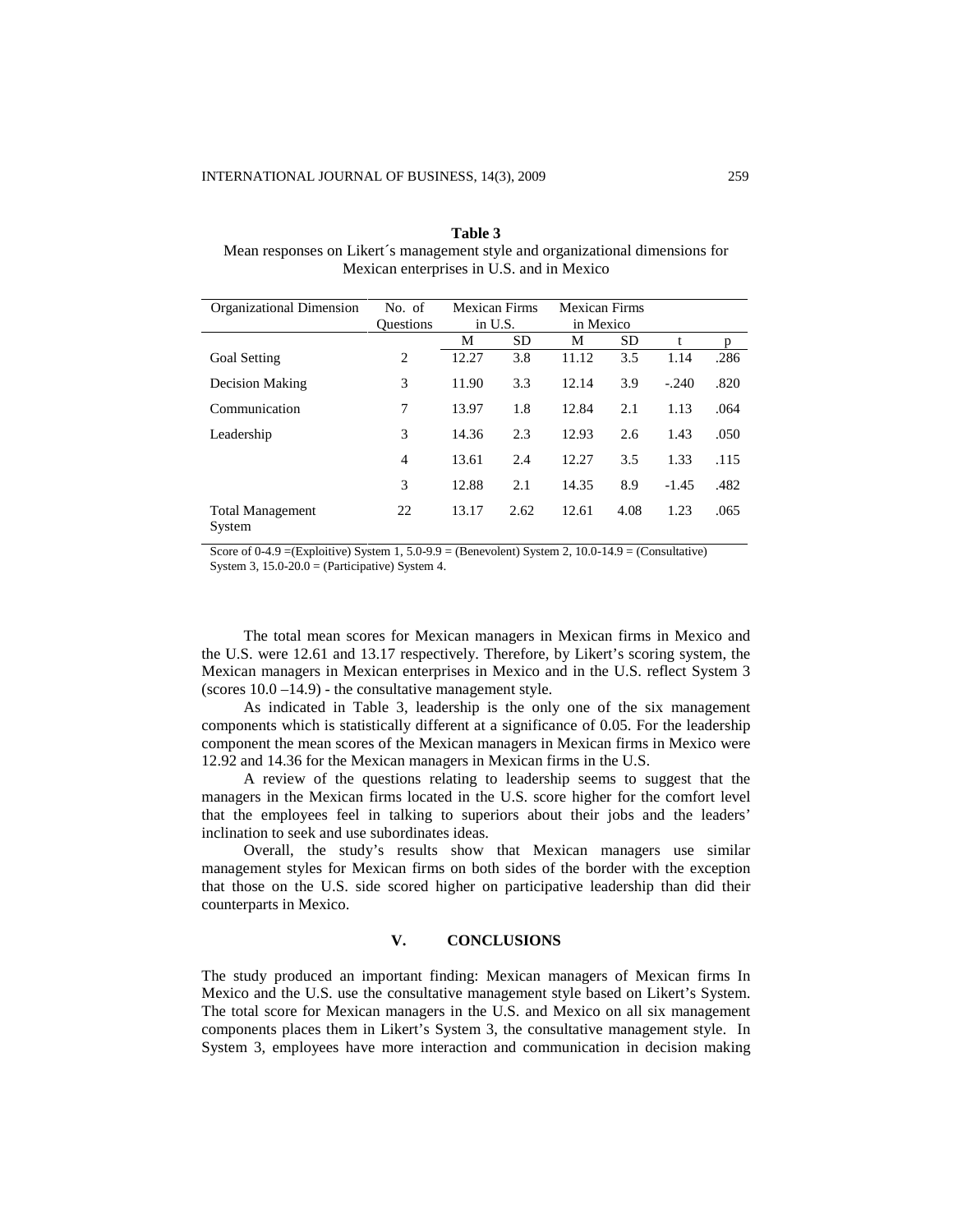| Table 3                                                                       |  |  |  |  |
|-------------------------------------------------------------------------------|--|--|--|--|
| Mean responses on Likert's management style and organizational dimensions for |  |  |  |  |
| Mexican enterprises in U.S. and in Mexico                                     |  |  |  |  |

| Organizational Dimension          | No. of           | <b>Mexican Firms</b> |           | <b>Mexican Firms</b> |      |         |      |
|-----------------------------------|------------------|----------------------|-----------|----------------------|------|---------|------|
|                                   | <b>Ouestions</b> | in U.S.              |           | in Mexico            |      |         |      |
|                                   |                  | М                    | <b>SD</b> | М                    | SD.  | t       | p    |
| <b>Goal Setting</b>               | 2                | 12.27                | 3.8       | 11.12                | 3.5  | 1.14    | .286 |
| <b>Decision Making</b>            | 3                | 11.90                | 3.3       | 12.14                | 3.9  | $-.240$ | .820 |
| Communication                     | 7                | 13.97                | 1.8       | 12.84                | 2.1  | 1.13    | .064 |
| Leadership                        | 3                | 14.36                | 2.3       | 12.93                | 2.6  | 1.43    | .050 |
|                                   | $\overline{4}$   | 13.61                | 2.4       | 12.27                | 3.5  | 1.33    | .115 |
|                                   | 3                | 12.88                | 2.1       | 14.35                | 8.9  | $-1.45$ | .482 |
| <b>Total Management</b><br>System | 22               | 13.17                | 2.62      | 12.61                | 4.08 | 1.23    | .065 |

Score of  $0-4.9 = (Explotitive)$  System 1,  $5.0-9.9 = (Benevolent)$  System 2,  $10.0-14.9 = (Conlbraceative\rbrace)$ System 3,  $15.0 - 20.0 =$  (Participative) System 4.

The total mean scores for Mexican managers in Mexican firms in Mexico and the U.S. were 12.61 and 13.17 respectively. Therefore, by Likert's scoring system, the Mexican managers in Mexican enterprises in Mexico and in the U.S. reflect System 3 (scores  $10.0 - 14.9$ ) - the consultative management style.

As indicated in Table 3, leadership is the only one of the six management components which is statistically different at a significance of 0.05. For the leadership component the mean scores of the Mexican managers in Mexican firms in Mexico were 12.92 and 14.36 for the Mexican managers in Mexican firms in the U.S.

A review of the questions relating to leadership seems to suggest that the managers in the Mexican firms located in the U.S. score higher for the comfort level that the employees feel in talking to superiors about their jobs and the leaders' inclination to seek and use subordinates ideas.

Overall, the study's results show that Mexican managers use similar management styles for Mexican firms on both sides of the border with the exception that those on the U.S. side scored higher on participative leadership than did their counterparts in Mexico.

## **V. CONCLUSIONS**

The study produced an important finding: Mexican managers of Mexican firms In Mexico and the U.S. use the consultative management style based on Likert's System. The total score for Mexican managers in the U.S. and Mexico on all six management components places them in Likert's System 3, the consultative management style. In System 3, employees have more interaction and communication in decision making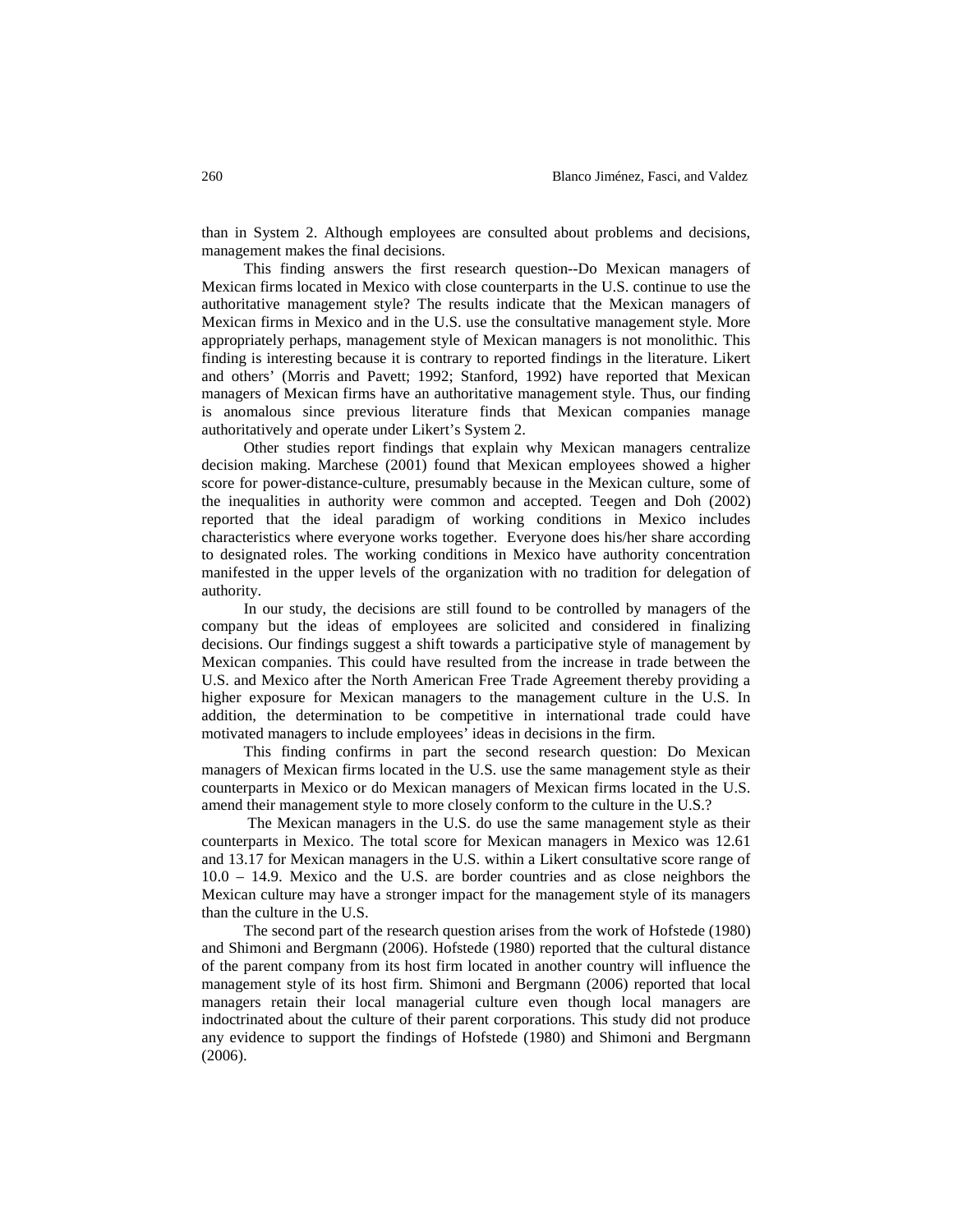than in System 2. Although employees are consulted about problems and decisions, management makes the final decisions.

This finding answers the first research question--Do Mexican managers of Mexican firms located in Mexico with close counterparts in the U.S. continue to use the authoritative management style? The results indicate that the Mexican managers of Mexican firms in Mexico and in the U.S. use the consultative management style. More appropriately perhaps, management style of Mexican managers is not monolithic. This finding is interesting because it is contrary to reported findings in the literature. Likert and others' (Morris and Pavett; 1992; Stanford, 1992) have reported that Mexican managers of Mexican firms have an authoritative management style. Thus, our finding is anomalous since previous literature finds that Mexican companies manage authoritatively and operate under Likert's System 2.

Other studies report findings that explain why Mexican managers centralize decision making. Marchese (2001) found that Mexican employees showed a higher score for power-distance-culture, presumably because in the Mexican culture, some of the inequalities in authority were common and accepted. Teegen and Doh (2002) reported that the ideal paradigm of working conditions in Mexico includes characteristics where everyone works together. Everyone does his/her share according to designated roles. The working conditions in Mexico have authority concentration manifested in the upper levels of the organization with no tradition for delegation of authority.

In our study, the decisions are still found to be controlled by managers of the company but the ideas of employees are solicited and considered in finalizing decisions. Our findings suggest a shift towards a participative style of management by Mexican companies. This could have resulted from the increase in trade between the U.S. and Mexico after the North American Free Trade Agreement thereby providing a higher exposure for Mexican managers to the management culture in the U.S. In addition, the determination to be competitive in international trade could have motivated managers to include employees' ideas in decisions in the firm.

This finding confirms in part the second research question: Do Mexican managers of Mexican firms located in the U.S. use the same management style as their counterparts in Mexico or do Mexican managers of Mexican firms located in the U.S. amend their management style to more closely conform to the culture in the U.S.?

The Mexican managers in the U.S. do use the same management style as their counterparts in Mexico. The total score for Mexican managers in Mexico was 12.61 and 13.17 for Mexican managers in the U.S. within a Likert consultative score range of 10.0 – 14.9. Mexico and the U.S. are border countries and as close neighbors the Mexican culture may have a stronger impact for the management style of its managers than the culture in the U.S.

The second part of the research question arises from the work of Hofstede (1980) and Shimoni and Bergmann (2006). Hofstede (1980) reported that the cultural distance of the parent company from its host firm located in another country will influence the management style of its host firm. Shimoni and Bergmann (2006) reported that local managers retain their local managerial culture even though local managers are indoctrinated about the culture of their parent corporations. This study did not produce any evidence to support the findings of Hofstede (1980) and Shimoni and Bergmann (2006).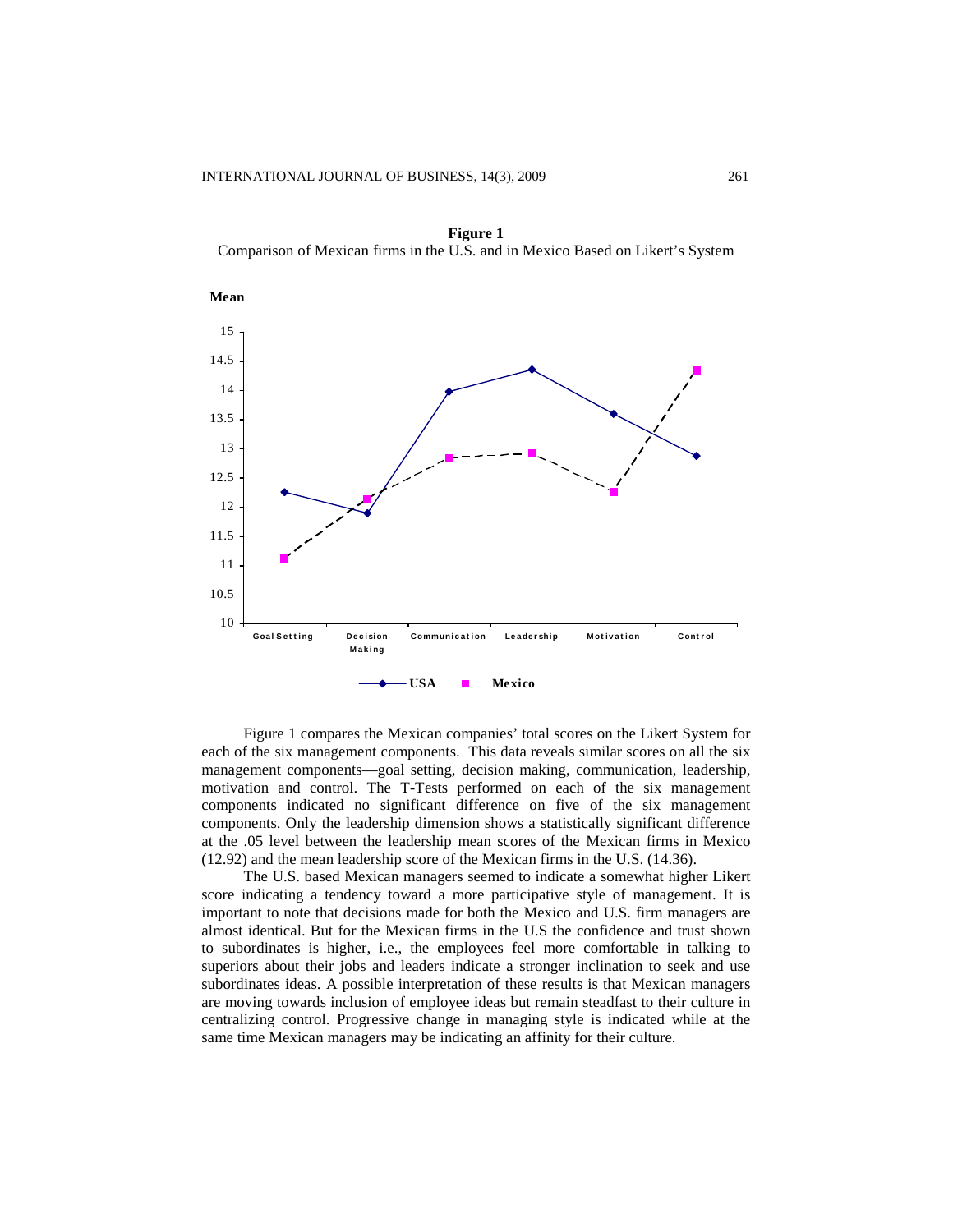

**Figure 1** Comparison of Mexican firms in the U.S. and in Mexico Based on Likert's System

Figure 1 compares the Mexican companies' total scores on the Likert System for each of the six management components. This data reveals similar scores on all the six management components—goal setting, decision making, communication, leadership, motivation and control. The T-Tests performed on each of the six management components indicated no significant difference on five of the six management components. Only the leadership dimension shows a statistically significant difference at the .05 level between the leadership mean scores of the Mexican firms in Mexico (12.92) and the mean leadership score of the Mexican firms in the U.S. (14.36).

The U.S. based Mexican managers seemed to indicate a somewhat higher Likert score indicating a tendency toward a more participative style of management. It is important to note that decisions made for both the Mexico and U.S. firm managers are almost identical. But for the Mexican firms in the U.S the confidence and trust shown to subordinates is higher, i.e., the employees feel more comfortable in talking to superiors about their jobs and leaders indicate a stronger inclination to seek and use subordinates ideas. A possible interpretation of these results is that Mexican managers are moving towards inclusion of employee ideas but remain steadfast to their culture in centralizing control. Progressive change in managing style is indicated while at the same time Mexican managers may be indicating an affinity for their culture.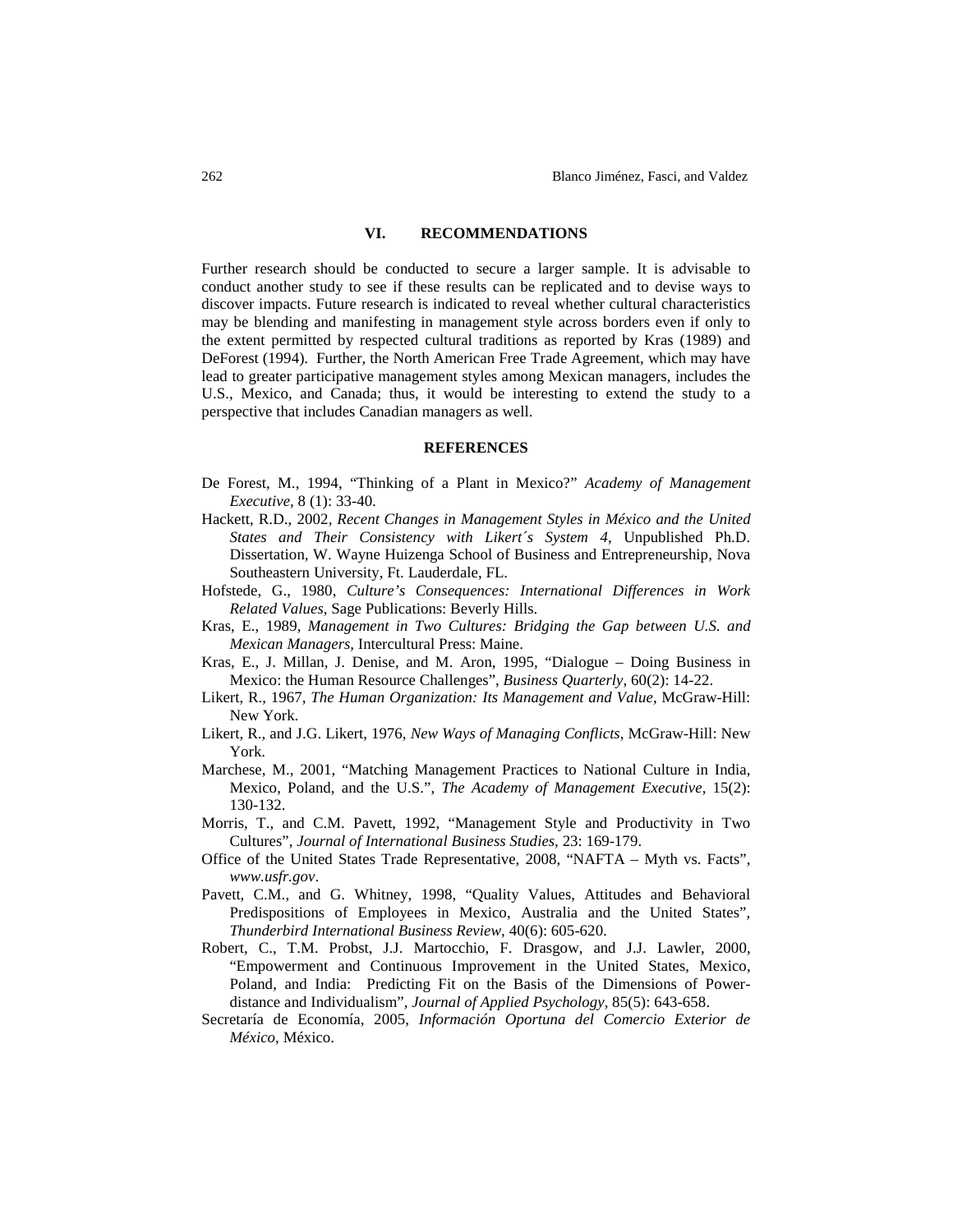### **VI. RECOMMENDATIONS**

Further research should be conducted to secure a larger sample. It is advisable to conduct another study to see if these results can be replicated and to devise ways to discover impacts. Future research is indicated to reveal whether cultural characteristics may be blending and manifesting in management style across borders even if only to the extent permitted by respected cultural traditions as reported by Kras (1989) and DeForest (1994). Further, the North American Free Trade Agreement, which may have lead to greater participative management styles among Mexican managers, includes the U.S., Mexico, and Canada; thus, it would be interesting to extend the study to a perspective that includes Canadian managers as well.

#### **REFERENCES**

- De Forest, M., 1994, "Thinking of a Plant in Mexico?" *Academy of Management Executive*, 8 (1): 33-40.
- Hackett, R.D., 2002, *Recent Changes in Management Styles in México and the United States and Their Consistency with Likert´s System 4*, Unpublished Ph.D. Dissertation, W. Wayne Huizenga School of Business and Entrepreneurship, Nova Southeastern University, Ft. Lauderdale, FL.
- Hofstede, G., 1980, *Culture's Consequences: International Differences in Work Related Values*, Sage Publications: Beverly Hills.
- Kras, E., 1989, *Management in Two Cultures: Bridging the Gap between U.S. and Mexican Managers*, Intercultural Press: Maine.
- Kras, E., J. Millan, J. Denise, and M. Aron, 1995, "Dialogue Doing Business in Mexico: the Human Resource Challenges", *Business Quarterly*, 60(2): 14-22.
- Likert, R., 1967, *The Human Organization: Its Management and Value*, McGraw-Hill: New York.
- Likert, R., and J.G. Likert, 1976, *New Ways of Managing Conflicts*, McGraw-Hill: New York.
- Marchese, M., 2001, "Matching Management Practices to National Culture in India, Mexico, Poland, and the U.S.", *The Academy of Management Executive*, 15(2): 130-132.
- Morris, T., and C.M. Pavett, 1992, "Management Style and Productivity in Two Cultures", *Journal of International Business Studies*, 23: 169-179.
- Office of the United States Trade Representative, 2008, "NAFTA Myth vs. Facts", *[www.usfr.gov](http://www.usfr.gov/)*.
- Pavett, C.M., and G. Whitney, 1998, "Quality Values, Attitudes and Behavioral Predispositions of Employees in Mexico, Australia and the United States", *Thunderbird International Business Review*, 40(6): 605-620.
- Robert, C., T.M. Probst, J.J. Martocchio, F. Drasgow, and J.J. Lawler, 2000, "Empowerment and Continuous Improvement in the United States, Mexico, Poland, and India: Predicting Fit on the Basis of the Dimensions of Powerdistance and Individualism", *Journal of Applied Psychology*, 85(5): 643-658.
- Secretaría de Economía, 2005, *Información Oportuna del Comercio Exterior de México*, México.